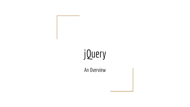# jQuery

An Overview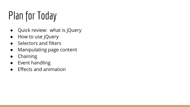## Plan for Today

- Quick review: what is jQuery
- How to use jQuery
- Selectors and filters
- Manipulating page content
- Chaining
- Event handling
- Effects and animation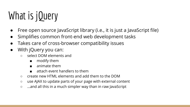# What is jQuery

- Free open source JavaScript library (i.e., it is just a JavaScript file)
- Simplifies common front-end web development tasks
- Takes care of cross-browser compatibility issues
- With jQuery you can:
	- select DOM elements and
		- modify them
		- animate them
		- attach event handlers to them
	- $\circ$  create new HTML elements and add them to the DOM
	- use AJAX to update parts of your page with external content
	- ...and all this in a much simpler way than in raw JavaScript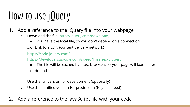# How to use jQuery

- 1. Add a reference to the jQuery file into your webpage
	- Download the file (<http://jquery.com/download>)
		- You have the local file, so you don't depend on a connection
	- ...or Link to a CDN (content delivery network)

<https://code.jquery.com/>

<https://developers.google.com/speed/libraries/#jquery>

- The file will be cached by most browsers >> your page will load faster
- $\circ$  ...or do both!
- Use the full version for development (optionally)
- Use the minified version for production (to gain speed)
- 2. Add a reference to the JavaScript file with your code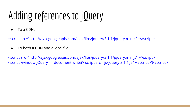## Adding references to jQuery

● To a CDN:

<script src="http://ajax.googleapis.com/ajax/libs/jquery/3.1.1/jquery.min.js"></script>

 $\bullet$  To both a CDN and a local file:

<script src="http://ajax.googleapis.com/ajax/libs/jquery/3.1.1/jquery.min.js"></script> <script>window.jQuery || document.write('<script src="js/jquery-3.1.1.js"></script>')</script>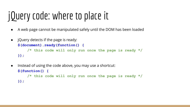## jQuery code: where to place it

- A web page cannot be manipulated safely until the DOM has been loaded
- jQuery detects if the page is ready:

```
$(document).ready(function() { 
    /* this code will only run once the page is ready */
});
```
• Instead of using the code above, you may use a shortcut: **\$(function() { /\* this code will only run once the page is ready \*/ });**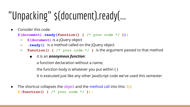## "Unpacking" \$(document).ready(...

● Consider this code:

**\$(document).ready(function() { /\* your code \*/ });**

- **\$(document)** is a jQuery object
- **.ready()** is a method called on the jQuery object
- **function() { /\* your code \*/ }** is the argument passed to that method
	- it is an *anonymous function*:

a function declaration without a name;

the function body is whatever you put within { }

It is executed just like any other JavaScript code we've used this semester

• The shortcut collapses the object and the method call into this:  $\frac{1}{2}$ (): **\$(function() { /\* your code \*/ });**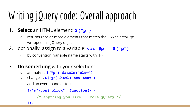# Writing jQuery code: Overall approach

- 1. **Select** an HTML element: **\$("p")**
	- returns zero or more elements that match the CSS selector "p" wrapped in a jQuery object
- 2. optionally, assign to a variable:  $var$   $sp = s$  ("p")
	- by convention, variable name starts with '\$')
- 3. **Do something** with your selection:
	- animate it: **\$("p").fadeIn("slow")**
	- change it: **\$("p").html("new text")**
	- add an event handler to it:

```
$("p").on("click", function() { 
    /* anything you like -- more jQuery */
});
```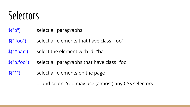#### **Selectors**

- \$("p") select all paragraphs
- \$(".foo") select all elements that have class "foo"
- \$("#bar") select the element with id="bar"
- \$("p.foo") select all paragraphs that have class "foo"
- \$("\*") select all elements on the page

... and so on. You may use (almost) any CSS selectors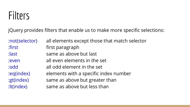#### Filters

jQuery provides filters that enable us to make more specific selections:

:not(selector) all elements except those that match selector

:first first paragraph

: last same as above but last

:even all even elements in the set

:odd all odd element in the set

:eq(index) elements with a specific index number

:gt(index) same as above but greater than

:lt(index) same as above but less than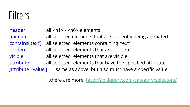#### Filters

:header all <h1> - <h6> elements :animated all selected elements that are currently being animated :contains('text') all selected elements containing 'text' :hidden all selected elements that are hidden :visible all selected elements that are visible [attribute] all selected elements that have the specified attribute [attribute='value'] same as above, but also must have a specific value

...there are more! <http://api.jquery.com/category/selectors/>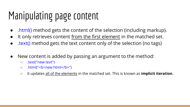## Manipulating page content

- .html() method gets the content of the selection (including markup).
- It only retrieves content from the first element in the matched set.
- .text() method gets the text content only of the selection (no tags)
- New content is added by passing an argument to the method:
	- .text("new text")
	- o .html("<b>new html</b>")
	- It updates all of the elements in the matched set. This is known as **implicit iteration**.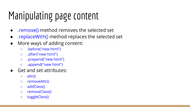## Manipulating page content

- .remove() method removes the selected set
- .replaceWith() method replaces the selected set
- More ways of adding content:
	- .before("new html")
	- .after("new html")
	- .prepend("new html")
	- .append("new html")
- Get and set attributes:
	- attr()
	- removeAttr()
	- addClass()
	- removeClass()
	- toggleClass()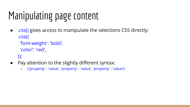## Manipulating page content

● .css() gives access to manipulate the selections CSS directly: .css({

'font-weight': 'bold',

'color': 'red',

});

- Pay attention to the slightly different syntax:
	- {'property' : 'value', 'property' : 'value', 'property' : 'value'}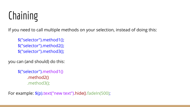## **Chaining**

If you need to call multiple methods on your selection, instead of doing this:

\$("selector").method1(); \$("selector").method2(); \$("selector").method3();

you can (and should) do this:

\$("selector").method1() .method2() .method3();

For example: \$(p).text("new text").hide().fadeIn(500);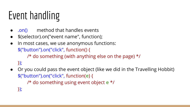# Event handling

- .on() method that handles events
- \$(selector).on("event name", function);
- In most cases, we use anonymous functions: \$("button").on("click", function() { /\* do something (with anything else on the page) \*/

});

● Or you could pass the event object (like we did in the Travelling Hobbit) \$("button").on("click", function(**e**) {

/\* do something using event object **e** \*/

});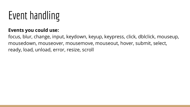# Event handling

#### **Events you could use:**

focus, blur, change, input, keydown, keyup, keypress, click, dblclick, mouseup, mousedown, mouseover, mousemove, mouseout, hover, submit, select, ready, load, unload, error, resize, scroll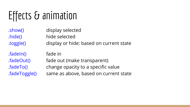## Effects & animation

.show() display selected .hide() hide selected .toggle() display or hide: based on current state

.fadeIn() fade in

.fadeOut() fade out (make transparent)

.fadeTo() change opacity to a specific value

.fadeToggle() same as above, based on current state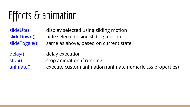## Effects & animation

.slideUp() display selected using sliding motion .slideDown() hide selected using sliding motion .slideToggle() same as above, based on current state

.delay() delay execution

.stop() stop animation if running

.animate() execute custom animation (animate numeric css properties)